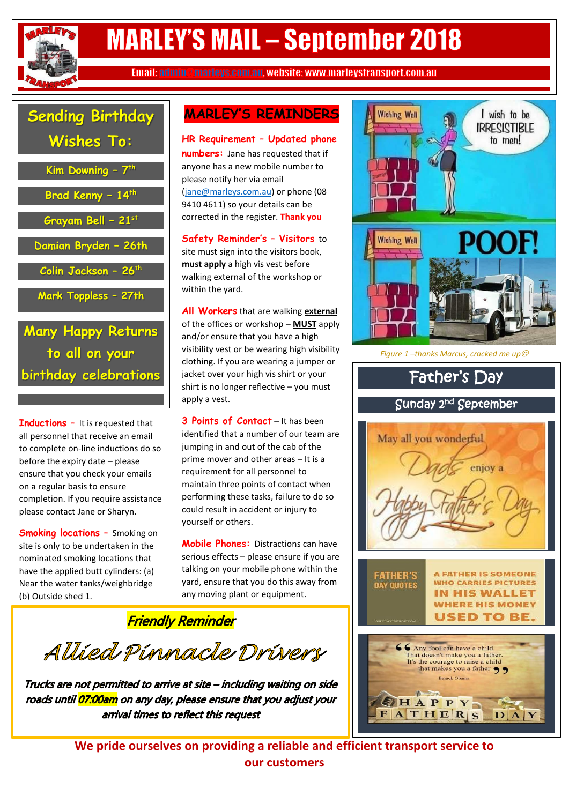

# **MARLEY'S MAIL - September 2018**

Email: admin @marleys.com.au. website: www.marleystransport.com.au

### **Sending Birthday Wishes To:**

| Kim Downing - 7th         |
|---------------------------|
| Brad Kenny - 14th         |
| Grayam Bell - 21st        |
| Damian Bryden - 26th      |
| Colin Jackson - 26th      |
| Mark Toppless - 27th      |
| <b>Many Happy Returns</b> |

**to all on your birthday celebrations**

**Inductions –** It is requested that all personnel that receive an email to complete on-line inductions do so before the expiry date – please ensure that you check your emails on a regular basis to ensure completion. If you require assistance please contact Jane or Sharyn.

**Smoking locations –** Smoking on site is only to be undertaken in the nominated smoking locations that have the applied butt cylinders: (a) Near the water tanks/weighbridge (b) Outside shed 1.

### **MARLEY'S REMINDERS**

**HR Requirement – Updated phone numbers:** Jane has requested that if anyone has a new mobile number to please notify her via email [\(jane@marleys.com.au\)](mailto:jane@marleys.com.au) or phone (08 9410 4611) so your details can be corrected in the register. **Thank you**

**Safety Reminder's – Visitors** to site must sign into the visitors book, **must apply** a high vis vest before walking external of the workshop or within the yard.

**All Workers** that are walking **external** of the offices or workshop – **MUST** apply and/or ensure that you have a high visibility vest or be wearing high visibility clothing. If you are wearing a jumper or jacket over your high vis shirt or your shirt is no longer reflective – you must apply a vest.

**3 Points of Contact** – It has been identified that a number of our team are jumping in and out of the cab of the prime mover and other areas – It is a requirement for all personnel to maintain three points of contact when performing these tasks, failure to do so could result in accident or injury to yourself or others.

**Mobile Phones:** Distractions can have serious effects – please ensure if you are talking on your mobile phone within the yard, ensure that you do this away from any moving plant or equipment.

**Friendly Reminder** 

Allied Pinnacle Drivers

Trucks are not permitted to arrive at site - including waiting on side roads until <mark>07:00am</mark> on any day, please ensure that you adjust your arrival times to reflect this request





*Figure 1 –thanks Marcus, cracked me up*



**We pride ourselves on providing a reliable and efficient transport service to our customers**